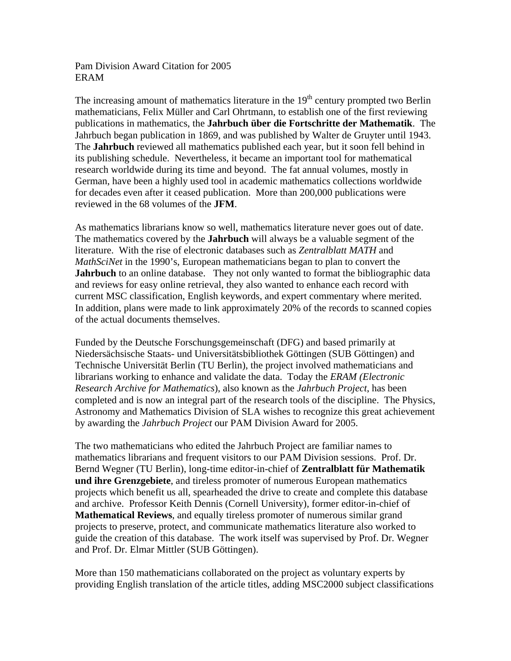## Pam Division Award Citation for 2005 ERAM

The increasing amount of mathematics literature in the  $19<sup>th</sup>$  century prompted two Berlin mathematicians, Felix Müller and Carl Ohrtmann, to establish one of the first reviewing publications in mathematics, the **Jahrbuch über die Fortschritte der Mathematik**. The Jahrbuch began publication in 1869, and was published by Walter de Gruyter until 1943. The **Jahrbuch** reviewed all mathematics published each year, but it soon fell behind in its publishing schedule. Nevertheless, it became an important tool for mathematical research worldwide during its time and beyond. The fat annual volumes, mostly in German, have been a highly used tool in academic mathematics collections worldwide for decades even after it ceased publication. More than 200,000 publications were reviewed in the 68 volumes of the **JFM**.

As mathematics librarians know so well, mathematics literature never goes out of date. The mathematics covered by the **Jahrbuch** will always be a valuable segment of the literature. With the rise of electronic databases such as *Zentralblatt MATH* and *MathSciNet* in the 1990's, European mathematicians began to plan to convert the **Jahrbuch** to an online database. They not only wanted to format the bibliographic data and reviews for easy online retrieval, they also wanted to enhance each record with current MSC classification, English keywords, and expert commentary where merited. In addition, plans were made to link approximately 20% of the records to scanned copies of the actual documents themselves.

Funded by the Deutsche Forschungsgemeinschaft (DFG) and based primarily at Niedersächsische Staats- und Universitätsbibliothek Göttingen (SUB Göttingen) and Technische Universität Berlin (TU Berlin), the project involved mathematicians and librarians working to enhance and validate the data. Today the *ERAM (Electronic Research Archive for Mathematics*), also known as the *Jahrbuch Project*, has been completed and is now an integral part of the research tools of the discipline. The Physics, Astronomy and Mathematics Division of SLA wishes to recognize this great achievement by awarding the *Jahrbuch Project* our PAM Division Award for 2005.

The two mathematicians who edited the Jahrbuch Project are familiar names to mathematics librarians and frequent visitors to our PAM Division sessions. Prof. Dr. Bernd Wegner (TU Berlin), long-time editor-in-chief of **Zentralblatt für Mathematik und ihre Grenzgebiete**, and tireless promoter of numerous European mathematics projects which benefit us all, spearheaded the drive to create and complete this database and archive. Professor Keith Dennis (Cornell University), former editor-in-chief of **Mathematical Reviews**, and equally tireless promoter of numerous similar grand projects to preserve, protect, and communicate mathematics literature also worked to guide the creation of this database. The work itself was supervised by Prof. Dr. Wegner and Prof. Dr. Elmar Mittler (SUB Göttingen).

More than 150 mathematicians collaborated on the project as voluntary experts by providing English translation of the article titles, adding MSC2000 subject classifications